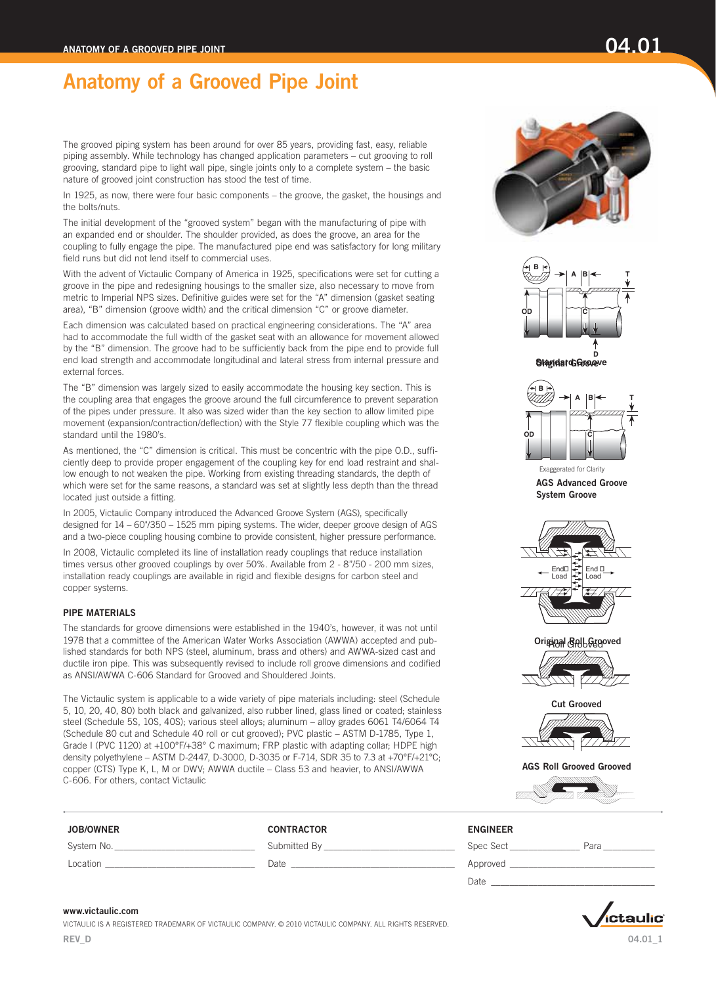The grooved piping system has been around for over 85 years, providing fast, easy, reliable piping assembly. While technology has changed application parameters – cut grooving to roll grooving, standard pipe to light wall pipe, single joints only to a complete system – the basic nature of grooved joint construction has stood the test of time.

In 1925, as now, there were four basic components – the groove, the gasket, the housings and the bolts/nuts.

The initial development of the "grooved system" began with the manufacturing of pipe with an expanded end or shoulder. The shoulder provided, as does the groove, an area for the coupling to fully engage the pipe. The manufactured pipe end was satisfactory for long military field runs but did not lend itself to commercial uses.

With the advent of Victaulic Company of America in 1925, specifications were set for cutting a groove in the pipe and redesigning housings to the smaller size, also necessary to move from metric to Imperial NPS sizes. Definitive guides were set for the "A" dimension (gasket seating area), "B" dimension (groove width) and the critical dimension "C" or groove diameter.

Each dimension was calculated based on practical engineering considerations. The "A" area had to accommodate the full width of the gasket seat with an allowance for movement allowed by the "B" dimension. The groove had to be sufficiently back from the pipe end to provide full end load strength and accommodate longitudinal and lateral stress from internal pressure and external forces.

The "B" dimension was largely sized to easily accommodate the housing key section. This is the coupling area that engages the groove around the full circumference to prevent separation of the pipes under pressure. It also was sized wider than the key section to allow limited pipe movement (expansion/contraction/deflection) with the Style 77 flexible coupling which was the standard until the 1980's.

As mentioned, the "C" dimension is critical. This must be concentric with the pipe O.D., sufficiently deep to provide proper engagement of the coupling key for end load restraint and shallow enough to not weaken the pipe. Working from existing threading standards, the depth of which were set for the same reasons, a standard was set at slightly less depth than the thread located just outside a fitting.

In 2005, Victaulic Company introduced the Advanced Groove System (AGS), specifically designed for 14 – 60"/350 – 1525 mm piping systems. The wider, deeper groove design of AGS and a two-piece coupling housing combine to provide consistent, higher pressure performance.

In 2008, Victaulic completed its line of installation ready couplings that reduce installation times versus other grooved couplings by over 50%. Available from 2 - 8"/50 - 200 mm sizes, installation ready couplings are available in rigid and flexible designs for carbon steel and copper systems.

## PIPE MATERIALS

The standards for groove dimensions were established in the 1940's, however, it was not until 1978 that a committee of the American Water Works Association (AWWA) accepted and published standards for both NPS (steel, aluminum, brass and others) and AWWA-sized cast and ductile iron pipe. This was subsequently revised to include roll groove dimensions and codified as ANSI/AWWA C-606 Standard for Grooved and Shouldered Joints.

The Victaulic system is applicable to a wide variety of pipe materials including: steel (Schedule 5, 10, 20, 40, 80) both black and galvanized, also rubber lined, glass lined or coated; stainless steel (Schedule 5S, 10S, 40S); various steel alloys; aluminum – alloy grades 6061 T4/6064 T4 (Schedule 80 cut and Schedule 40 roll or cut grooved); PVC plastic – ASTM D-1785, Type 1, Grade I (PVC 1120) at +100°F/+38° C maximum; FRP plastic with adapting collar; HDPE high density polyethylene – ASTM D-2447, D-3000, D-3035 or F-714, SDR 35 to 7.3 at +70°F/+21°C; copper (CTS) Type K, L, M or DWV; AWWA ductile – Class 53 and heavier, to ANSI/AWWA C-606. For others, contact Victaulic

## JOB/OWNER CONTRACTOR ENGINEER















Cut Grooved Cut Grooved

AGS Roll Grooved AGS Roll Grooved Grooved



| System No. | Submitted By | Para<br>Spec Sect |
|------------|--------------|-------------------|
| Location   | Date         | Approveg          |

Date \_\_\_\_\_\_\_\_\_\_\_\_\_\_\_\_\_\_\_\_\_\_\_\_\_\_\_\_\_\_\_\_\_\_\_

## [www.victaulic.com](https://www.victaulic.com/)

VICTAULIC IS A REGISTERED TRADEMARK OF VICTAULIC COMPANY. © 2010 VICTAULIC COMPANY. ALL RIGHTS RESERVED. REV\_D

04.01\_1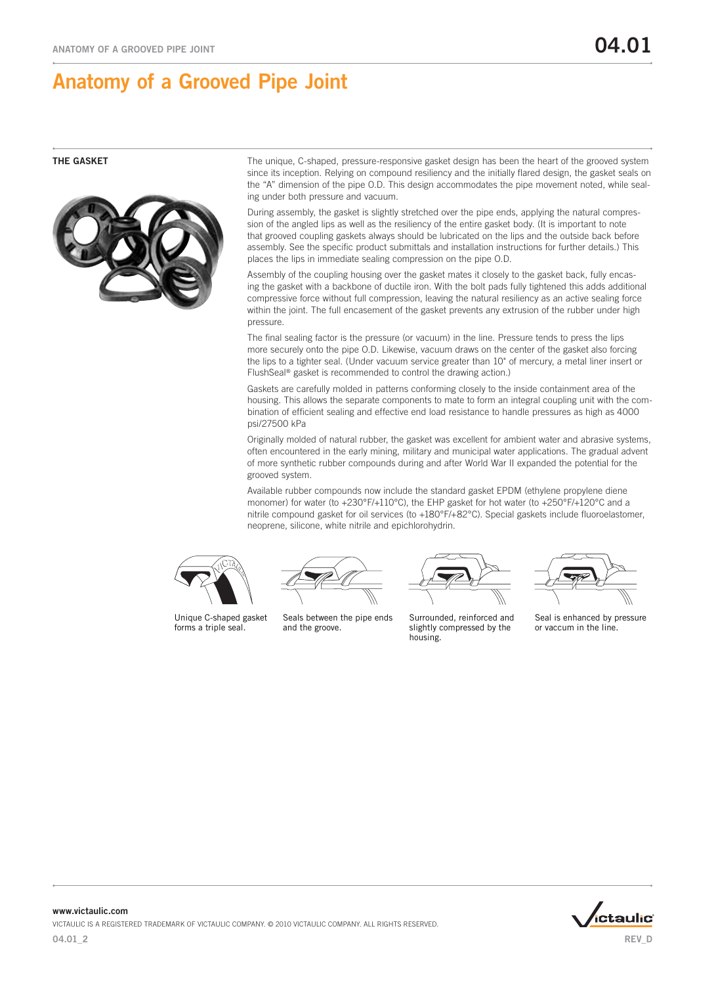

THE GASKET The unique, C-shaped, pressure-responsive gasket design has been the heart of the grooved system since its inception. Relying on compound resiliency and the initially flared design, the gasket seals on the "A" dimension of the pipe O.D. This design accommodates the pipe movement noted, while sealing under both pressure and vacuum.

> During assembly, the gasket is slightly stretched over the pipe ends, applying the natural compression of the angled lips as well as the resiliency of the entire gasket body. (It is important to note that grooved coupling gaskets always should be lubricated on the lips and the outside back before assembly. See the specific product submittals and installation instructions for further details.) This places the lips in immediate sealing compression on the pipe O.D.

Assembly of the coupling housing over the gasket mates it closely to the gasket back, fully encasing the gasket with a backbone of ductile iron. With the bolt pads fully tightened this adds additional compressive force without full compression, leaving the natural resiliency as an active sealing force within the joint. The full encasement of the gasket prevents any extrusion of the rubber under high pressure.

The final sealing factor is the pressure (or vacuum) in the line. Pressure tends to press the lips more securely onto the pipe O.D. Likewise, vacuum draws on the center of the gasket also forcing the lips to a tighter seal. (Under vacuum service greater than 10" of mercury, a metal liner insert or FlushSeal® gasket is recommended to control the drawing action.)

Gaskets are carefully molded in patterns conforming closely to the inside containment area of the housing. This allows the separate components to mate to form an integral coupling unit with the combination of efficient sealing and effective end load resistance to handle pressures as high as 4000 psi/27500 kPa

Originally molded of natural rubber, the gasket was excellent for ambient water and abrasive systems, often encountered in the early mining, military and municipal water applications. The gradual advent of more synthetic rubber compounds during and after World War II expanded the potential for the grooved system.

Available rubber compounds now include the standard gasket EPDM (ethylene propylene diene monomer) for water (to +230°F/+110°C), the EHP gasket for hot water (to +250°F/+120°C and a nitrile compound gasket for oil services (to +180°F/+82°C). Special gaskets include fluoroelastomer, neoprene, silicone, white nitrile and epichlorohydrin.



Unique C-shaped gasket forms a triple seal.

Seals between the pipe ends and the groove.

Surrounded, reinforced and slightly compressed by the housing.



Seal is enhanced by pressure or vaccum in the line.



04.01\_2 www.victaulic.com VICTAULIC IS A REGISTERED TRADEMARK OF VICTAULIC COMPANY. © 2010 VICTAULIC COMPANY. ALL RIGHTS RESERVED.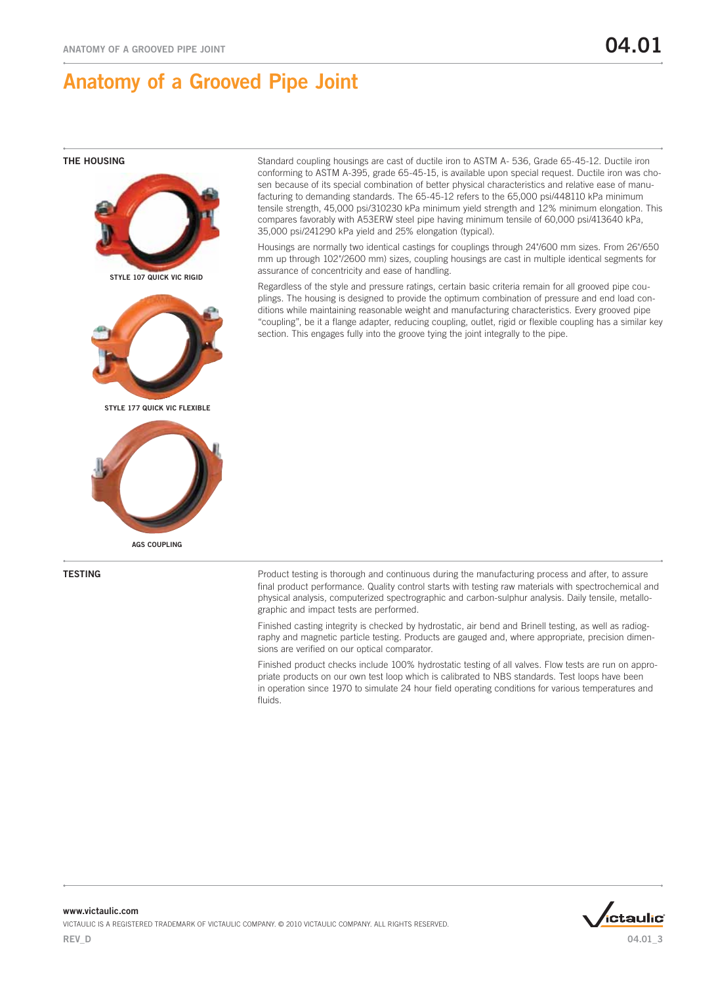

AGS COUPLING

THE HOUSING Standard coupling housings are cast of ductile iron to ASTM A- 536, Grade 65-45-12. Ductile iron conforming to ASTM A-395, grade 65-45-15, is available upon special request. Ductile iron was chosen because of its special combination of better physical characteristics and relative ease of manufacturing to demanding standards. The 65-45-12 refers to the 65,000 psi/448110 kPa minimum tensile strength, 45,000 psi/310230 kPa minimum yield strength and 12% minimum elongation. This compares favorably with A53ERW steel pipe having minimum tensile of 60,000 psi/413640 kPa, 35,000 psi/241290 kPa yield and 25% elongation (typical).

> Housings are normally two identical castings for couplings through 24"/600 mm sizes. From 26"/650 mm up through 102"/2600 mm) sizes, coupling housings are cast in multiple identical segments for assurance of concentricity and ease of handling.

> Regardless of the style and pressure ratings, certain basic criteria remain for all grooved pipe couplings. The housing is designed to provide the optimum combination of pressure and end load conditions while maintaining reasonable weight and manufacturing characteristics. Every grooved pipe "coupling", be it a flange adapter, reducing coupling, outlet, rigid or flexible coupling has a similar key section. This engages fully into the groove tying the joint integrally to the pipe.

**TESTING EXECUTE:** Product testing is thorough and continuous during the manufacturing process and after, to assure final product performance. Quality control starts with testing raw materials with spectrochemical and physical analysis, computerized spectrographic and carbon-sulphur analysis. Daily tensile, metallographic and impact tests are performed.

> Finished casting integrity is checked by hydrostatic, air bend and Brinell testing, as well as radiography and magnetic particle testing. Products are gauged and, where appropriate, precision dimensions are verified on our optical comparator.

> Finished product checks include 100% hydrostatic testing of all valves. Flow tests are run on appropriate products on our own test loop which is calibrated to NBS standards. Test loops have been in operation since 1970 to simulate 24 hour field operating conditions for various temperatures and fluids.

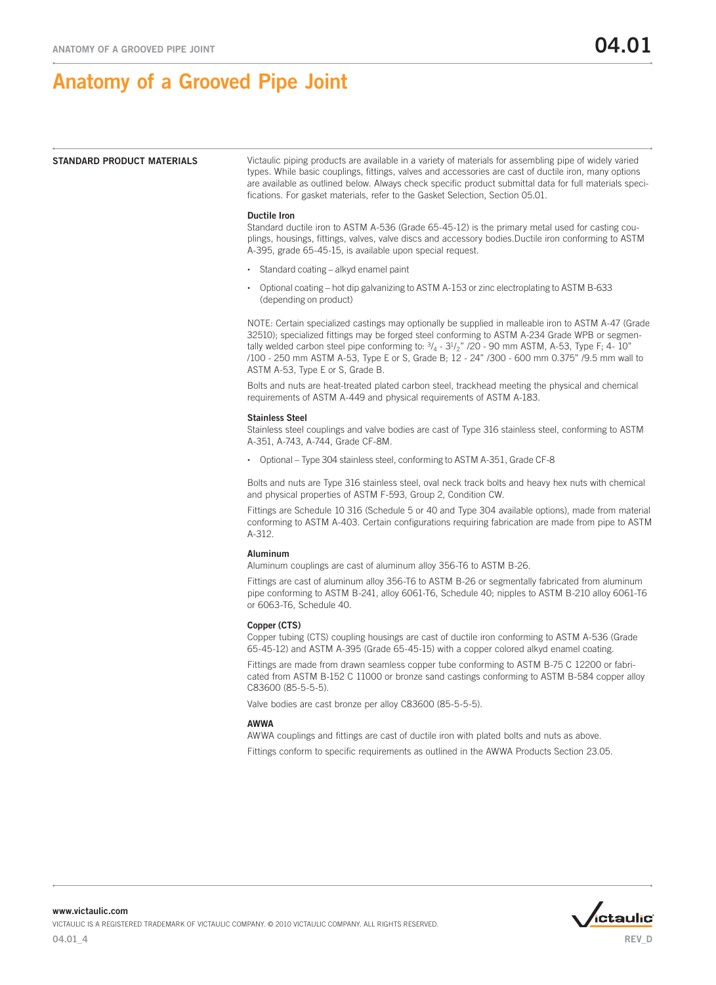**STANDARD PRODUCT MATERIALS** Victaulic piping products are available in a variety of materials for assembling pipe of widely varied types. While basic couplings, fittings, valves and accessories are cast of ductile iron, many options are available as outlined below. Always check specific product submittal data for full materials specifications. For gasket materials, refer to the Gasket Selection, Section 05.01.

### Ductile Iron

Standard ductile iron to ASTM A-536 (Grade 65-45-12) is the primary metal used for casting couplings, housings, fittings, valves, valve discs and accessory bodies.Ductile iron conforming to ASTM A-395, grade 65-45-15, is available upon special request.

- Standard coating alkyd enamel paint
- • Optional coating hot dip galvanizing to ASTM A-153 or zinc electroplating to ASTM B-633 (depending on product)

NOTE: Certain specialized castings may optionally be supplied in malleable iron to ASTM A-47 (Grade 32510); specialized fittings may be forged steel conforming to ASTM A-234 Grade WPB or segmentally welded carbon steel pipe conforming to:  $\frac{3}{4}$  -  $\frac{31}{2}$ " /20 - 90 mm ASTM, A-53, Type F; 4- 10" /100 - 250 mm ASTM A-53, Type E or S, Grade B; 12 - 24" /300 - 600 mm 0.375" /9.5 mm wall to ASTM A-53, Type E or S, Grade B.

Bolts and nuts are heat-treated plated carbon steel, trackhead meeting the physical and chemical requirements of ASTM A-449 and physical requirements of ASTM A-183.

### Stainless Steel

Stainless steel couplings and valve bodies are cast of Type 316 stainless steel, conforming to ASTM A-351, A-743, A-744, Grade CF-8M.

• Optional – Type 304 stainless steel, conforming to ASTM A-351, Grade CF-8

Bolts and nuts are Type 316 stainless steel, oval neck track bolts and heavy hex nuts with chemical and physical properties of ASTM F-593, Group 2, Condition CW.

Fittings are Schedule 10 316 (Schedule 5 or 40 and Type 304 available options), made from material conforming to ASTM A-403. Certain configurations requiring fabrication are made from pipe to ASTM A-312.

### Aluminum

Aluminum couplings are cast of aluminum alloy 356-T6 to ASTM B-26.

Fittings are cast of aluminum alloy 356-T6 to ASTM B-26 or segmentally fabricated from aluminum pipe conforming to ASTM B-241, alloy 6061-T6, Schedule 40; nipples to ASTM B-210 alloy 6061-T6 or 6063-T6, Schedule 40.

### Copper (CTS)

Copper tubing (CTS) coupling housings are cast of ductile iron conforming to ASTM A-536 (Grade 65-45-12) and ASTM A-395 (Grade 65-45-15) with a copper colored alkyd enamel coating.

Fittings are made from drawn seamless copper tube conforming to ASTM B-75 C 12200 or fabricated from ASTM B-152 C 11000 or bronze sand castings conforming to ASTM B-584 copper alloy C83600 (85-5-5-5).

Valve bodies are cast bronze per alloy C83600 (85-5-5-5).

## AWWA

AWWA couplings and fittings are cast of ductile iron with plated bolts and nuts as above. Fittings conform to specific requirements as outlined in the AWWA Products Section 23.05.



www.victaulic.com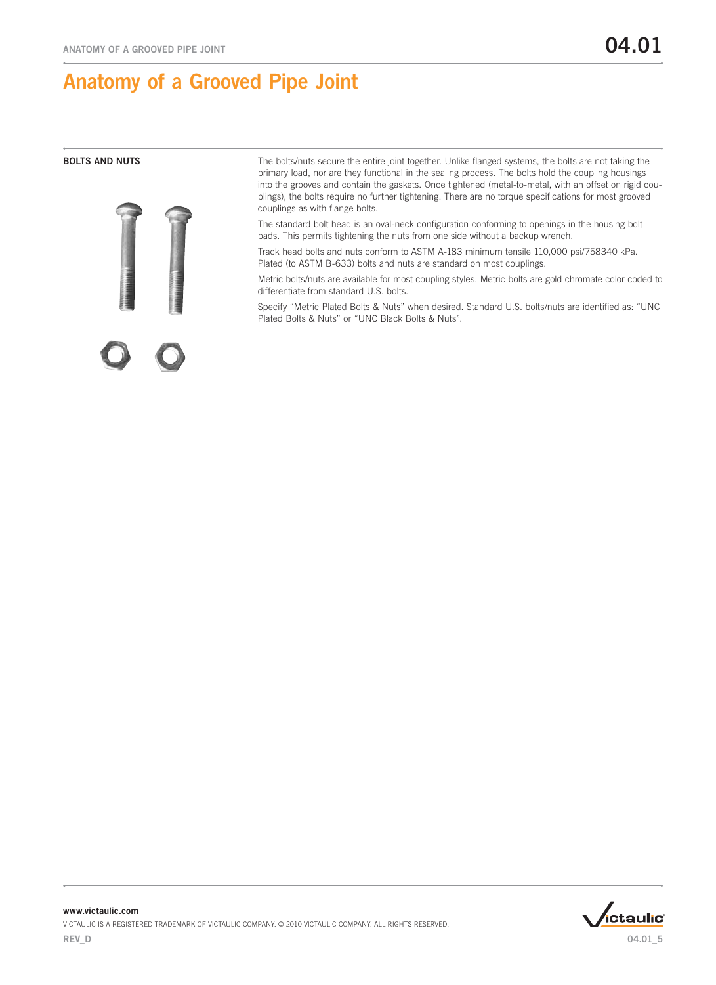

**BOLTS AND NUTS** The bolts/nuts secure the entire joint together. Unlike flanged systems, the bolts are not taking the primary load, nor are they functional in the sealing process. The bolts hold the coupling housings into the grooves and contain the gaskets. Once tightened (metal-to-metal, with an offset on rigid couplings), the bolts require no further tightening. There are no torque specifications for most grooved couplings as with flange bolts.

> The standard bolt head is an oval-neck configuration conforming to openings in the housing bolt pads. This permits tightening the nuts from one side without a backup wrench.

> Track head bolts and nuts conform to ASTM A-183 minimum tensile 110,000 psi/758340 kPa. Plated (to ASTM B-633) bolts and nuts are standard on most couplings.

Metric bolts/nuts are available for most coupling styles. Metric bolts are gold chromate color coded to differentiate from standard U.S. bolts.

Specify "Metric Plated Bolts & Nuts" when desired. Standard U.S. bolts/nuts are identified as: "UNC Plated Bolts & Nuts" or "UNC Black Bolts & Nuts".



www.victaulic.com